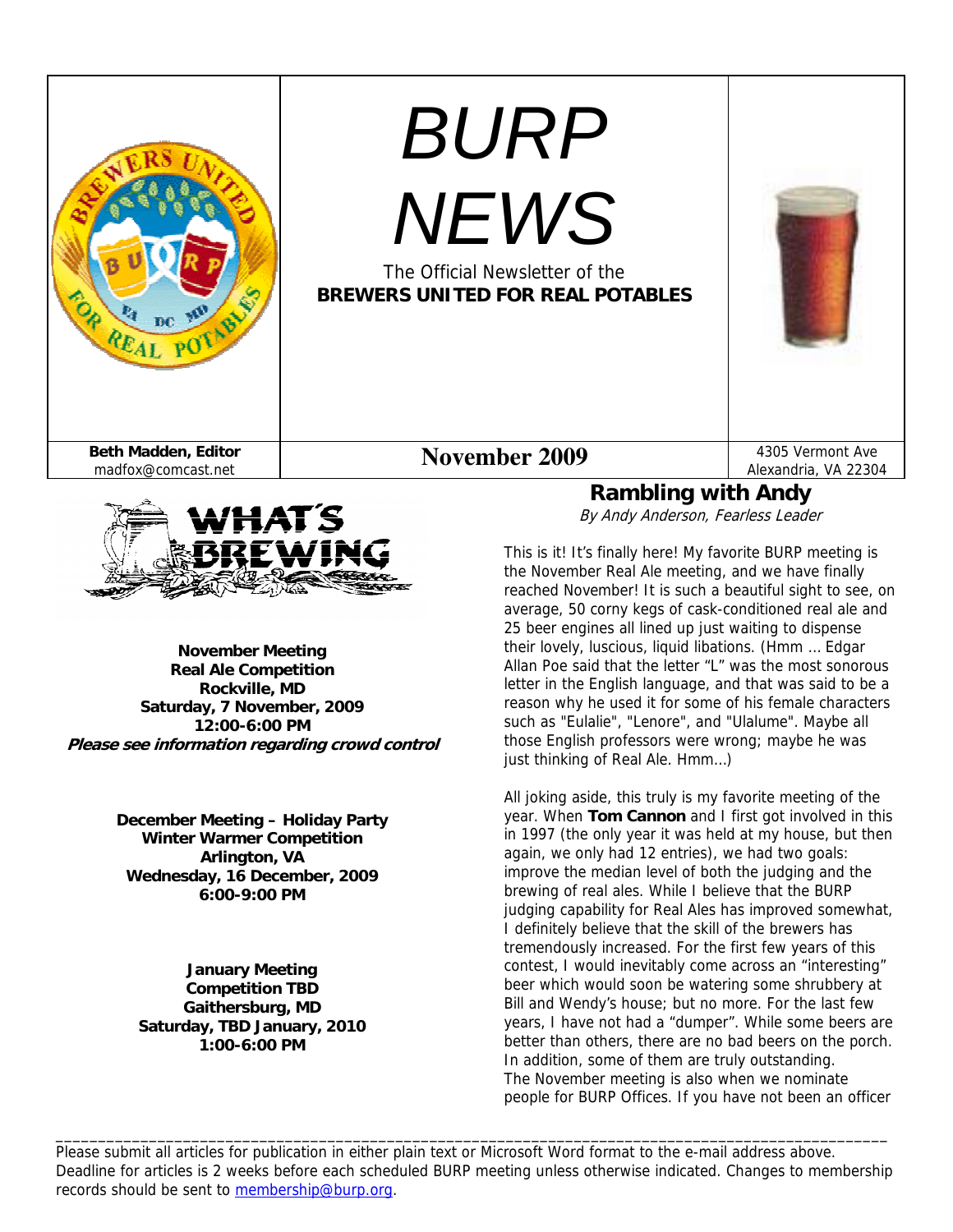



**November Meeting Real Ale Competition Rockville, MD Saturday, 7 November, 2009 12:00-6:00 PM Please see information regarding crowd control** 

> **December Meeting – Holiday Party Winter Warmer Competition Arlington, VA Wednesday, 16 December, 2009 6:00-9:00 PM**

**January Meeting Competition TBD Gaithersburg, MD Saturday, TBD January, 2010 1:00-6:00 PM** 

By Andy Anderson, Fearless Leader

This is it! It's finally here! My favorite BURP meeting is the November Real Ale meeting, and we have finally reached November! It is such a beautiful sight to see, on average, 50 corny kegs of cask-conditioned real ale and 25 beer engines all lined up just waiting to dispense their lovely, luscious, liquid libations. (Hmm … Edgar Allan Poe said that the letter "L" was the most sonorous letter in the English language, and that was said to be a reason why he used it for some of his female characters such as "Eulalie", "Lenore", and "Ulalume". Maybe all those English professors were wrong; maybe he was just thinking of Real Ale. Hmm…)

All joking aside, this truly is my favorite meeting of the year. When **Tom Cannon** and I first got involved in this in 1997 (the only year it was held at my house, but then again, we only had 12 entries), we had two goals: improve the median level of both the judging and the brewing of real ales. While I believe that the BURP judging capability for Real Ales has improved somewhat, I definitely believe that the skill of the brewers has tremendously increased. For the first few years of this contest, I would inevitably come across an "interesting" beer which would soon be watering some shrubbery at Bill and Wendy's house; but no more. For the last few years, I have not had a "dumper". While some beers are better than others, there are no bad beers on the porch. In addition, some of them are truly outstanding. The November meeting is also when we nominate people for BURP Offices. If you have not been an officer

Please submit all articles for publication in either plain text or Microsoft Word format to the e-mail address above. Deadline for articles is 2 weeks before each scheduled BURP meeting unless otherwise indicated. Changes to membership records should be sent to membership@burp.org.

\_\_\_\_\_\_\_\_\_\_\_\_\_\_\_\_\_\_\_\_\_\_\_\_\_\_\_\_\_\_\_\_\_\_\_\_\_\_\_\_\_\_\_\_\_\_\_\_\_\_\_\_\_\_\_\_\_\_\_\_\_\_\_\_\_\_\_\_\_\_\_\_\_\_\_\_\_\_\_\_\_\_\_\_\_\_\_\_\_\_\_\_\_\_\_\_\_\_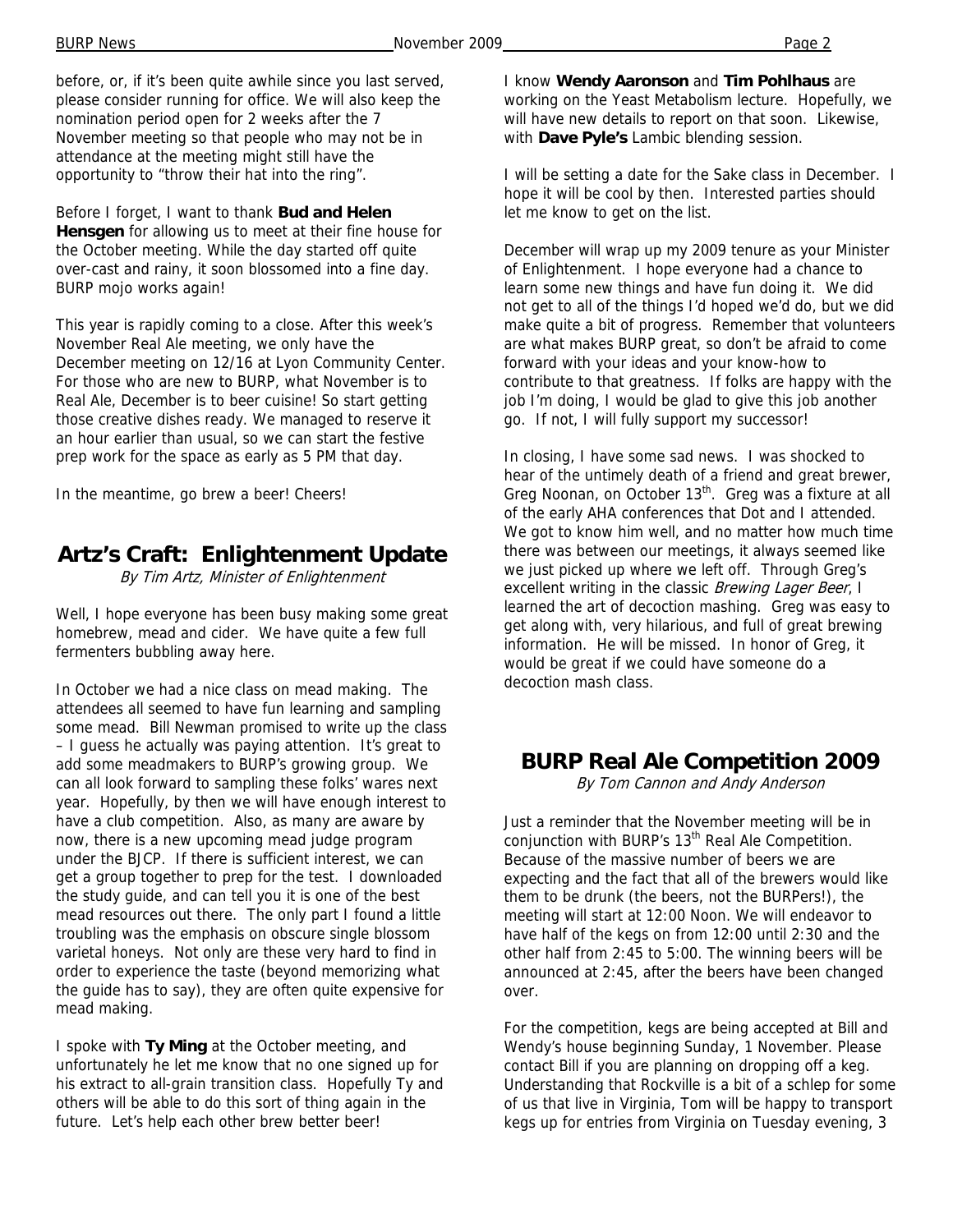before, or, if it's been quite awhile since you last served, please consider running for office. We will also keep the nomination period open for 2 weeks after the 7 November meeting so that people who may not be in attendance at the meeting might still have the opportunity to "throw their hat into the ring".

Before I forget, I want to thank **Bud and Helen Hensgen** for allowing us to meet at their fine house for the October meeting. While the day started off quite over-cast and rainy, it soon blossomed into a fine day. BURP mojo works again!

This year is rapidly coming to a close. After this week's November Real Ale meeting, we only have the December meeting on 12/16 at Lyon Community Center. For those who are new to BURP, what November is to Real Ale, December is to beer cuisine! So start getting those creative dishes ready. We managed to reserve it an hour earlier than usual, so we can start the festive prep work for the space as early as 5 PM that day.

In the meantime, go brew a beer! Cheers!

# **Artz's Craft: Enlightenment Update**

By Tim Artz, Minister of Enlightenment

Well, I hope everyone has been busy making some great homebrew, mead and cider. We have quite a few full fermenters bubbling away here.

In October we had a nice class on mead making. The attendees all seemed to have fun learning and sampling some mead. Bill Newman promised to write up the class – I guess he actually was paying attention. It's great to add some meadmakers to BURP's growing group. We can all look forward to sampling these folks' wares next year. Hopefully, by then we will have enough interest to have a club competition. Also, as many are aware by now, there is a new upcoming mead judge program under the BJCP. If there is sufficient interest, we can get a group together to prep for the test. I downloaded the study guide, and can tell you it is one of the best mead resources out there. The only part I found a little troubling was the emphasis on obscure single blossom varietal honeys. Not only are these very hard to find in order to experience the taste (beyond memorizing what the guide has to say), they are often quite expensive for mead making.

I spoke with **Ty Ming** at the October meeting, and unfortunately he let me know that no one signed up for his extract to all-grain transition class. Hopefully Ty and others will be able to do this sort of thing again in the future. Let's help each other brew better beer!

I know **Wendy Aaronson** and **Tim Pohlhaus** are working on the Yeast Metabolism lecture. Hopefully, we will have new details to report on that soon. Likewise, with **Dave Pyle's** Lambic blending session.

I will be setting a date for the Sake class in December. I hope it will be cool by then. Interested parties should let me know to get on the list.

December will wrap up my 2009 tenure as your Minister of Enlightenment. I hope everyone had a chance to learn some new things and have fun doing it. We did not get to all of the things I'd hoped we'd do, but we did make quite a bit of progress. Remember that volunteers are what makes BURP great, so don't be afraid to come forward with your ideas and your know-how to contribute to that greatness. If folks are happy with the job I'm doing, I would be glad to give this job another go. If not, I will fully support my successor!

In closing, I have some sad news. I was shocked to hear of the untimely death of a friend and great brewer, Greg Noonan, on October 13<sup>th</sup>. Greg was a fixture at all of the early AHA conferences that Dot and I attended. We got to know him well, and no matter how much time there was between our meetings, it always seemed like we just picked up where we left off. Through Greg's excellent writing in the classic Brewing Lager Beer, I learned the art of decoction mashing. Greg was easy to get along with, very hilarious, and full of great brewing information. He will be missed. In honor of Greg, it would be great if we could have someone do a decoction mash class.

### **BURP Real Ale Competition 2009**

By Tom Cannon and Andy Anderson

Just a reminder that the November meeting will be in conjunction with BURP's 13<sup>th</sup> Real Ale Competition. Because of the massive number of beers we are expecting and the fact that all of the brewers would like them to be drunk (the beers, not the BURPers!), the meeting will start at 12:00 Noon. We will endeavor to have half of the kegs on from 12:00 until 2:30 and the other half from 2:45 to 5:00. The winning beers will be announced at 2:45, after the beers have been changed over.

For the competition, kegs are being accepted at Bill and Wendy's house beginning Sunday, 1 November. Please contact Bill if you are planning on dropping off a keg. Understanding that Rockville is a bit of a schlep for some of us that live in Virginia, Tom will be happy to transport kegs up for entries from Virginia on Tuesday evening, 3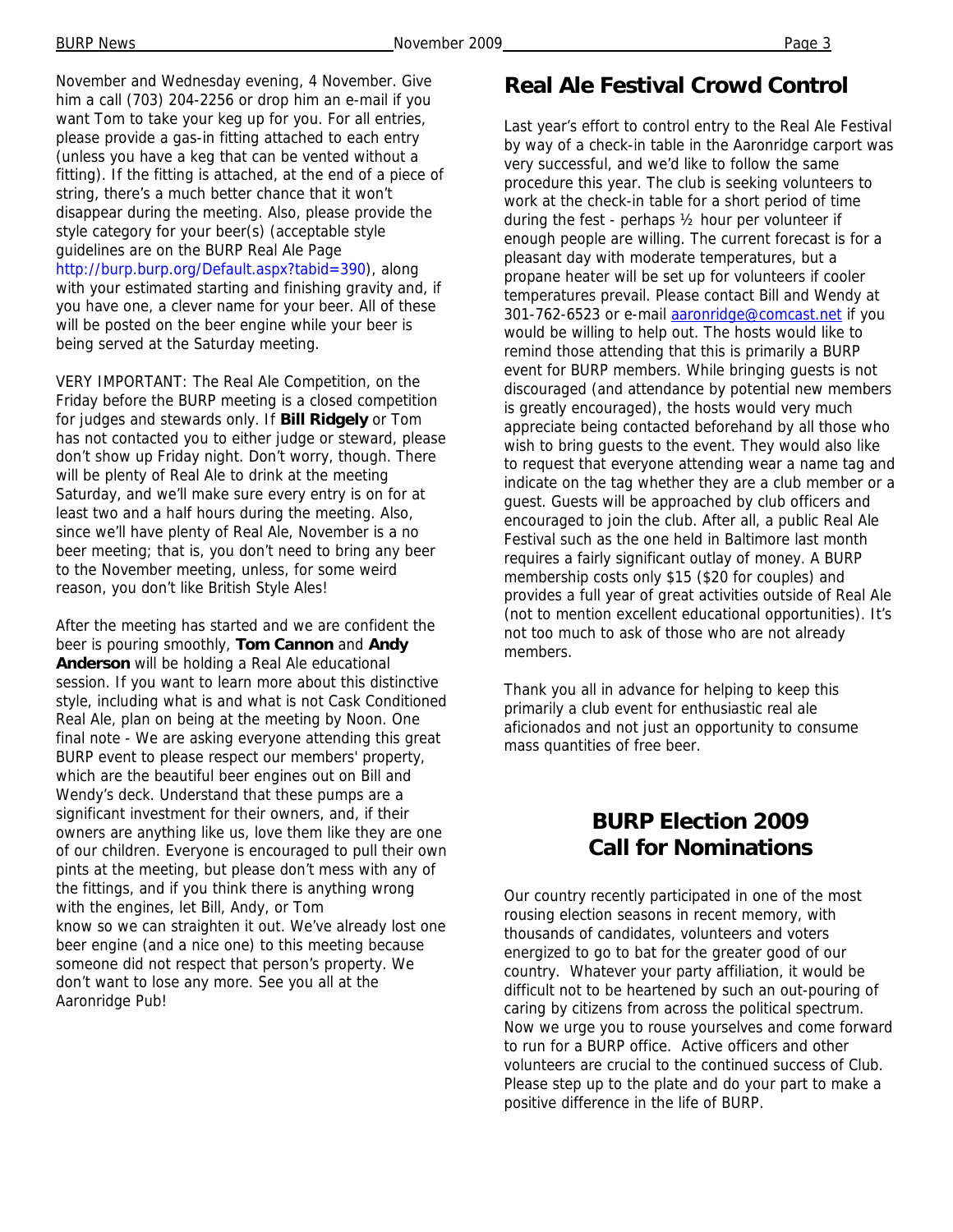November and Wednesday evening, 4 November. Give him a call (703) 204-2256 or drop him an e-mail if you want Tom to take your keg up for you. For all entries, please provide a gas-in fitting attached to each entry (unless you have a keg that can be vented without a fitting). If the fitting is attached, at the end of a piece of string, there's a much better chance that it won't disappear during the meeting. Also, please provide the style category for your beer(s) (acceptable style guidelines are on the BURP Real Ale Page http://burp.burp.org/Default.aspx?tabid=390), along with your estimated starting and finishing gravity and, if you have one, a clever name for your beer. All of these will be posted on the beer engine while your beer is being served at the Saturday meeting.

VERY IMPORTANT: The Real Ale Competition, on the Friday before the BURP meeting is a closed competition for judges and stewards only. If **Bill Ridgely** or Tom has not contacted you to either judge or steward, please don't show up Friday night. Don't worry, though. There will be plenty of Real Ale to drink at the meeting Saturday, and we'll make sure every entry is on for at least two and a half hours during the meeting. Also, since we'll have plenty of Real Ale, November is a no beer meeting; that is, you don't need to bring any beer to the November meeting, unless, for some weird reason, you don't like British Style Ales!

After the meeting has started and we are confident the beer is pouring smoothly, **Tom Cannon** and **Andy Anderson** will be holding a Real Ale educational session. If you want to learn more about this distinctive style, including what is and what is not Cask Conditioned Real Ale, plan on being at the meeting by Noon. One final note - We are asking everyone attending this great BURP event to please respect our members' property, which are the beautiful beer engines out on Bill and Wendy's deck. Understand that these pumps are a significant investment for their owners, and, if their owners are anything like us, love them like they are one of our children. Everyone is encouraged to pull their own pints at the meeting, but please don't mess with any of the fittings, and if you think there is anything wrong with the engines, let Bill, Andy, or Tom know so we can straighten it out. We've already lost one beer engine (and a nice one) to this meeting because someone did not respect that person's property. We don't want to lose any more. See you all at the Aaronridge Pub!

## **Real Ale Festival Crowd Control**

Last year's effort to control entry to the Real Ale Festival by way of a check-in table in the Aaronridge carport was very successful, and we'd like to follow the same procedure this year. The club is seeking volunteers to work at the check-in table for a short period of time during the fest - perhaps ½ hour per volunteer if enough people are willing. The current forecast is for a pleasant day with moderate temperatures, but a propane heater will be set up for volunteers if cooler temperatures prevail. Please contact Bill and Wendy at 301-762-6523 or e-mail aaronridge@comcast.net if you would be willing to help out. The hosts would like to remind those attending that this is primarily a BURP event for BURP members. While bringing guests is not discouraged (and attendance by potential new members is greatly encouraged), the hosts would very much appreciate being contacted beforehand by all those who wish to bring guests to the event. They would also like to request that everyone attending wear a name tag and indicate on the tag whether they are a club member or a guest. Guests will be approached by club officers and encouraged to join the club. After all, a public Real Ale Festival such as the one held in Baltimore last month requires a fairly significant outlay of money. A BURP membership costs only \$15 (\$20 for couples) and provides a full year of great activities outside of Real Ale (not to mention excellent educational opportunities). It's not too much to ask of those who are not already members.

Thank you all in advance for helping to keep this primarily a club event for enthusiastic real ale aficionados and not just an opportunity to consume mass quantities of free beer.

## **BURP Election 2009 Call for Nominations**

Our country recently participated in one of the most rousing election seasons in recent memory, with thousands of candidates, volunteers and voters energized to go to bat for the greater good of our country. Whatever your party affiliation, it would be difficult not to be heartened by such an out-pouring of caring by citizens from across the political spectrum. Now we urge you to rouse yourselves and come forward to run for a BURP office. Active officers and other volunteers are crucial to the continued success of Club. Please step up to the plate and do your part to make a positive difference in the life of BURP.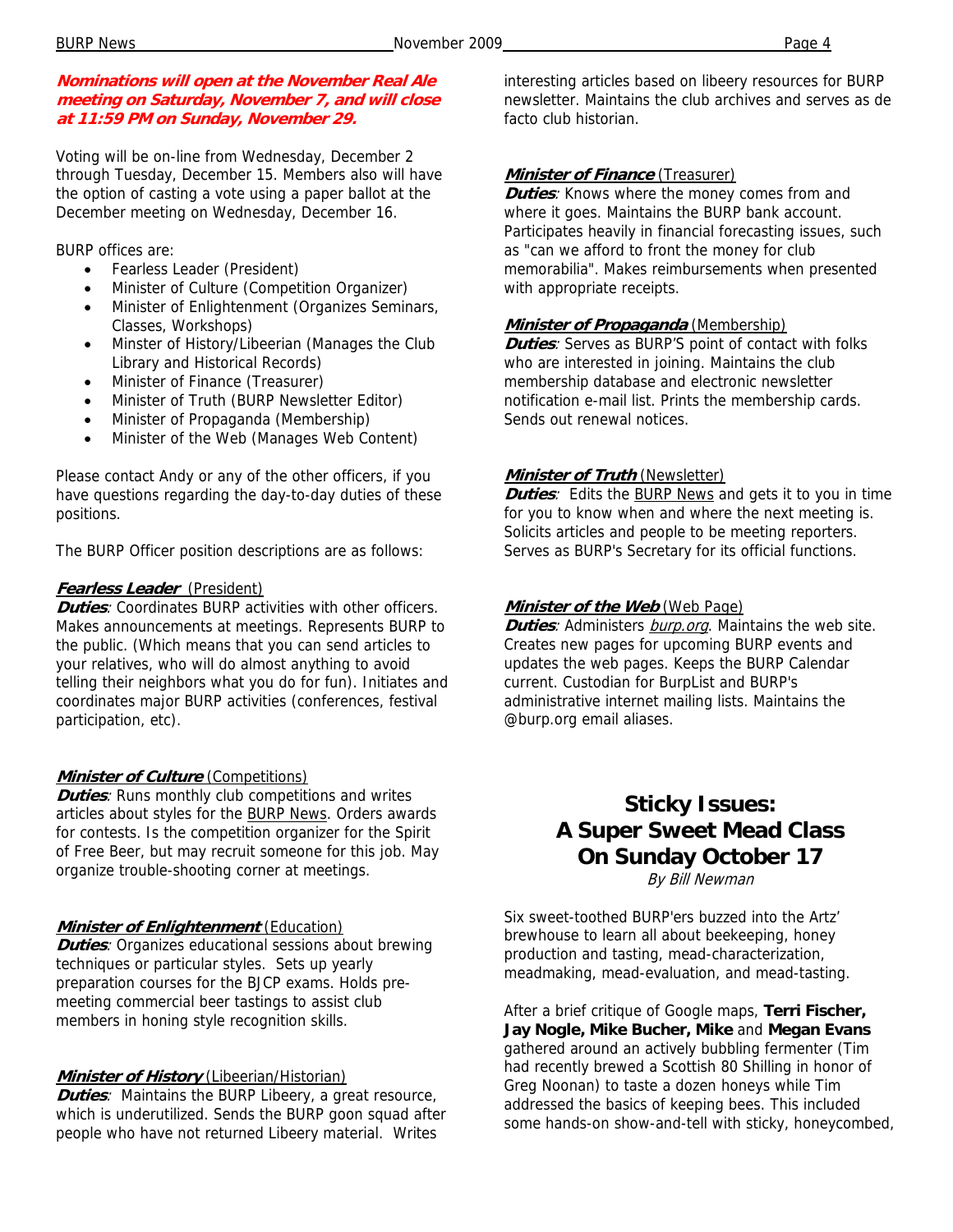### **Nominations will open at the November Real Ale meeting on Saturday, November 7, and will close at 11:59 PM on Sunday, November 29.**

Voting will be on-line from Wednesday, December 2 through Tuesday, December 15. Members also will have the option of casting a vote using a paper ballot at the December meeting on Wednesday, December 16.

BURP offices are:

- Fearless Leader (President)
- Minister of Culture (Competition Organizer)
- Minister of Enlightenment (Organizes Seminars, Classes, Workshops)
- Minster of History/Libeerian (Manages the Club Library and Historical Records)
- Minister of Finance (Treasurer)
- Minister of Truth (BURP Newsletter Editor)
- Minister of Propaganda (Membership)
- Minister of the Web (Manages Web Content)

Please contact Andy or any of the other officers, if you have questions regarding the day-to-day duties of these positions.

The BURP Officer position descriptions are as follows:

#### **Fearless Leader** (President)

**Duties**: Coordinates BURP activities with other officers. Makes announcements at meetings. Represents BURP to the public. (Which means that you can send articles to your relatives, who will do almost anything to avoid telling their neighbors what you do for fun). Initiates and coordinates major BURP activities (conferences, festival participation, etc).

### **Minister of Culture** (Competitions)

**Duties:** Runs monthly club competitions and writes articles about styles for the BURP News. Orders awards for contests. Is the competition organizer for the Spirit of Free Beer, but may recruit someone for this job. May organize trouble-shooting corner at meetings.

#### **Minister of Enlightenment** (Education)

**Duties**: Organizes educational sessions about brewing techniques or particular styles. Sets up yearly preparation courses for the BJCP exams. Holds premeeting commercial beer tastings to assist club members in honing style recognition skills.

#### **Minister of History** (Libeerian/Historian)

**Duties**: Maintains the BURP Libeery, a great resource, which is underutilized. Sends the BURP goon squad after people who have not returned Libeery material. Writes

interesting articles based on libeery resources for BURP newsletter. Maintains the club archives and serves as de facto club historian.

### **Minister of Finance** (Treasurer)

**Duties**: Knows where the money comes from and where it goes. Maintains the BURP bank account. Participates heavily in financial forecasting issues, such as "can we afford to front the money for club memorabilia". Makes reimbursements when presented with appropriate receipts.

#### **Minister of Propaganda** (Membership)

**Duties**: Serves as BURP'S point of contact with folks who are interested in joining. Maintains the club membership database and electronic newsletter notification e-mail list. Prints the membership cards. Sends out renewal notices.

#### **Minister of Truth** (Newsletter)

**Duties**: Edits the BURP News and gets it to you in time for you to know when and where the next meeting is. Solicits articles and people to be meeting reporters. Serves as BURP's Secretary for its official functions.

#### **Minister of the Web** (Web Page)

**Duties**: Administers burp.org. Maintains the web site. Creates new pages for upcoming BURP events and updates the web pages. Keeps the BURP Calendar current. Custodian for BurpList and BURP's administrative internet mailing lists. Maintains the @burp.org email aliases.

### **Sticky Issues: A Super Sweet Mead Class On Sunday October 17**  By Bill Newman

Six sweet-toothed BURP'ers buzzed into the Artz' brewhouse to learn all about beekeeping, honey production and tasting, mead-characterization,

meadmaking, mead-evaluation, and mead-tasting.

After a brief critique of Google maps, **Terri Fischer, Jay Nogle, Mike Bucher, Mike** and **Megan Evans** gathered around an actively bubbling fermenter (Tim had recently brewed a Scottish 80 Shilling in honor of Greg Noonan) to taste a dozen honeys while Tim addressed the basics of keeping bees. This included some hands-on show-and-tell with sticky, honeycombed,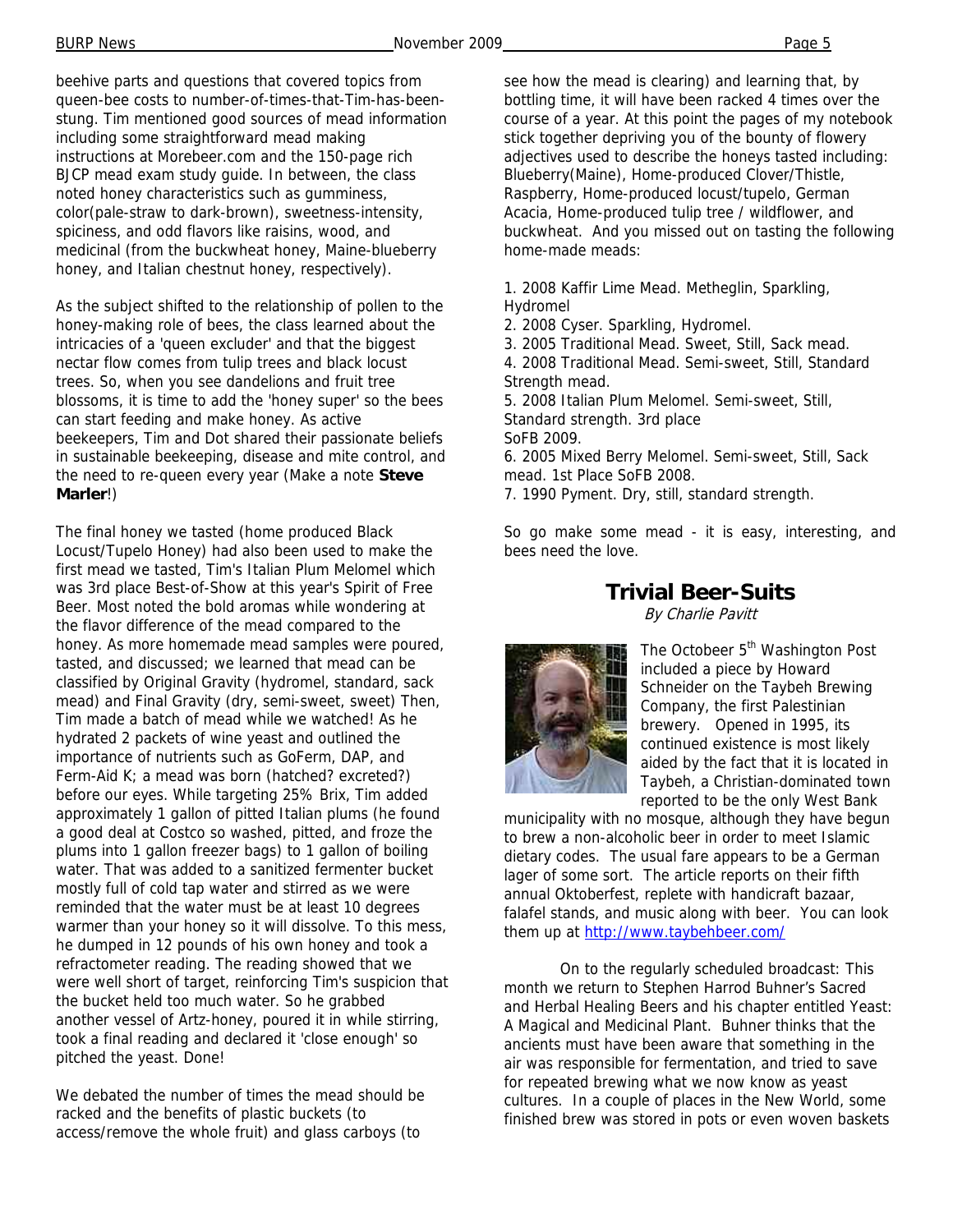beehive parts and questions that covered topics from queen-bee costs to number-of-times-that-Tim-has-beenstung. Tim mentioned good sources of mead information including some straightforward mead making instructions at Morebeer.com and the 150-page rich BJCP mead exam study guide. In between, the class noted honey characteristics such as gumminess, color(pale-straw to dark-brown), sweetness-intensity, spiciness, and odd flavors like raisins, wood, and medicinal (from the buckwheat honey, Maine-blueberry honey, and Italian chestnut honey, respectively).

As the subject shifted to the relationship of pollen to the honey-making role of bees, the class learned about the intricacies of a 'queen excluder' and that the biggest nectar flow comes from tulip trees and black locust trees. So, when you see dandelions and fruit tree blossoms, it is time to add the 'honey super' so the bees can start feeding and make honey. As active beekeepers, Tim and Dot shared their passionate beliefs in sustainable beekeeping, disease and mite control, and the need to re-queen every year (Make a note **Steve Marler**!)

The final honey we tasted (home produced Black Locust/Tupelo Honey) had also been used to make the first mead we tasted, Tim's Italian Plum Melomel which was 3rd place Best-of-Show at this year's Spirit of Free Beer. Most noted the bold aromas while wondering at the flavor difference of the mead compared to the honey. As more homemade mead samples were poured, tasted, and discussed; we learned that mead can be classified by Original Gravity (hydromel, standard, sack mead) and Final Gravity (dry, semi-sweet, sweet) Then, Tim made a batch of mead while we watched! As he hydrated 2 packets of wine yeast and outlined the importance of nutrients such as GoFerm, DAP, and Ferm-Aid K; a mead was born (hatched? excreted?) before our eyes. While targeting 25% Brix, Tim added approximately 1 gallon of pitted Italian plums (he found a good deal at Costco so washed, pitted, and froze the plums into 1 gallon freezer bags) to 1 gallon of boiling water. That was added to a sanitized fermenter bucket mostly full of cold tap water and stirred as we were reminded that the water must be at least 10 degrees warmer than your honey so it will dissolve. To this mess, he dumped in 12 pounds of his own honey and took a refractometer reading. The reading showed that we were well short of target, reinforcing Tim's suspicion that the bucket held too much water. So he grabbed another vessel of Artz-honey, poured it in while stirring, took a final reading and declared it 'close enough' so pitched the yeast. Done!

We debated the number of times the mead should be racked and the benefits of plastic buckets (to access/remove the whole fruit) and glass carboys (to

see how the mead is clearing) and learning that, by bottling time, it will have been racked 4 times over the course of a year. At this point the pages of my notebook stick together depriving you of the bounty of flowery adjectives used to describe the honeys tasted including: Blueberry(Maine), Home-produced Clover/Thistle, Raspberry, Home-produced locust/tupelo, German Acacia, Home-produced tulip tree / wildflower, and buckwheat. And you missed out on tasting the following home-made meads:

1. 2008 Kaffir Lime Mead. Metheglin, Sparkling, Hydromel

2. 2008 Cyser. Sparkling, Hydromel.

3. 2005 Traditional Mead. Sweet, Still, Sack mead.

4. 2008 Traditional Mead. Semi-sweet, Still, Standard Strength mead.

5. 2008 Italian Plum Melomel. Semi-sweet, Still, Standard strength. 3rd place SoFB 2009.

6. 2005 Mixed Berry Melomel. Semi-sweet, Still, Sack mead. 1st Place SoFB 2008.

7. 1990 Pyment. Dry, still, standard strength.

So go make some mead - it is easy, interesting, and bees need the love.

### **Trivial Beer-Suits**

By Charlie Pavitt



The Octobeer 5<sup>th</sup> Washington Post included a piece by Howard Schneider on the Taybeh Brewing Company, the first Palestinian brewery. Opened in 1995, its continued existence is most likely aided by the fact that it is located in Taybeh, a Christian-dominated town reported to be the only West Bank

municipality with no mosque, although they have begun to brew a non-alcoholic beer in order to meet Islamic dietary codes. The usual fare appears to be a German lager of some sort. The article reports on their fifth annual Oktoberfest, replete with handicraft bazaar, falafel stands, and music along with beer. You can look them up at http://www.taybehbeer.com/

On to the regularly scheduled broadcast: This month we return to Stephen Harrod Buhner's Sacred and Herbal Healing Beers and his chapter entitled Yeast: A Magical and Medicinal Plant. Buhner thinks that the ancients must have been aware that something in the air was responsible for fermentation, and tried to save for repeated brewing what we now know as yeast cultures. In a couple of places in the New World, some finished brew was stored in pots or even woven baskets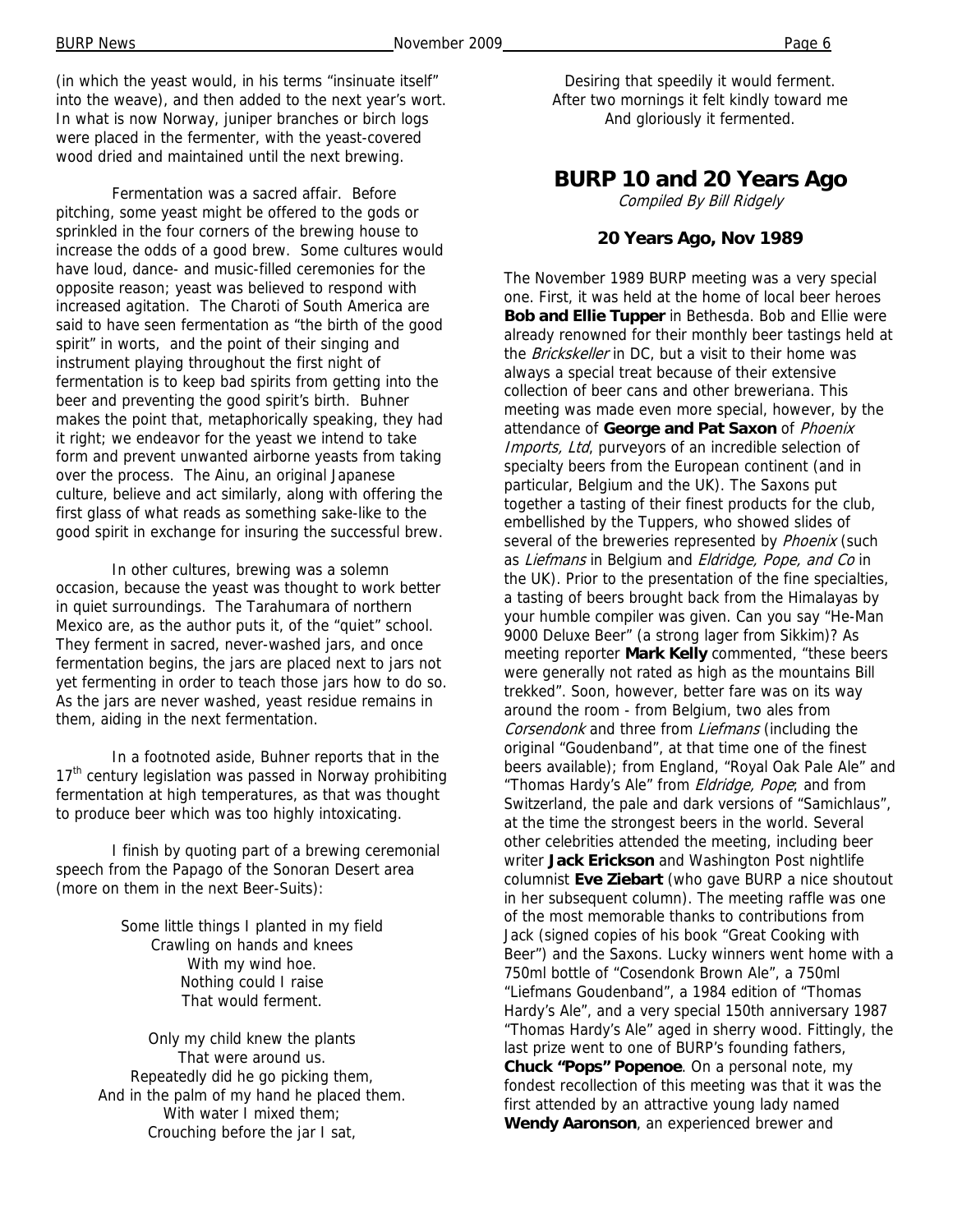(in which the yeast would, in his terms "insinuate itself" into the weave), and then added to the next year's wort. In what is now Norway, juniper branches or birch logs were placed in the fermenter, with the yeast-covered wood dried and maintained until the next brewing.

 Fermentation was a sacred affair. Before pitching, some yeast might be offered to the gods or sprinkled in the four corners of the brewing house to increase the odds of a good brew. Some cultures would have loud, dance- and music-filled ceremonies for the opposite reason; yeast was believed to respond with increased agitation. The Charoti of South America are said to have seen fermentation as "the birth of the good spirit" in worts, and the point of their singing and instrument playing throughout the first night of fermentation is to keep bad spirits from getting into the beer and preventing the good spirit's birth. Buhner makes the point that, metaphorically speaking, they had it right; we endeavor for the yeast we intend to take form and prevent unwanted airborne yeasts from taking over the process. The Ainu, an original Japanese culture, believe and act similarly, along with offering the first glass of what reads as something sake-like to the good spirit in exchange for insuring the successful brew.

 In other cultures, brewing was a solemn occasion, because the yeast was thought to work better in quiet surroundings. The Tarahumara of northern Mexico are, as the author puts it, of the "quiet" school. They ferment in sacred, never-washed jars, and once fermentation begins, the jars are placed next to jars not yet fermenting in order to teach those jars how to do so. As the jars are never washed, yeast residue remains in them, aiding in the next fermentation.

 In a footnoted aside, Buhner reports that in the  $17<sup>th</sup>$  century legislation was passed in Norway prohibiting fermentation at high temperatures, as that was thought to produce beer which was too highly intoxicating.

 I finish by quoting part of a brewing ceremonial speech from the Papago of the Sonoran Desert area (more on them in the next Beer-Suits):

> Some little things I planted in my field Crawling on hands and knees With my wind hoe. Nothing could I raise That would ferment.

Only my child knew the plants That were around us. Repeatedly did he go picking them, And in the palm of my hand he placed them. With water I mixed them; Crouching before the jar I sat,

### **BURP 10 and 20 Years Ago**

Compiled By Bill Ridgely

#### **20 Years Ago, Nov 1989**

The November 1989 BURP meeting was a very special one. First, it was held at the home of local beer heroes **Bob and Ellie Tupper** in Bethesda. Bob and Ellie were already renowned for their monthly beer tastings held at the Brickskeller in DC, but a visit to their home was always a special treat because of their extensive collection of beer cans and other breweriana. This meeting was made even more special, however, by the attendance of **George and Pat Saxon** of Phoenix Imports, Ltd, purveyors of an incredible selection of specialty beers from the European continent (and in particular, Belgium and the UK). The Saxons put together a tasting of their finest products for the club, embellished by the Tuppers, who showed slides of several of the breweries represented by Phoenix (such as Liefmans in Belgium and Eldridge, Pope, and Co in the UK). Prior to the presentation of the fine specialties, a tasting of beers brought back from the Himalayas by your humble compiler was given. Can you say "He-Man 9000 Deluxe Beer" (a strong lager from Sikkim)? As meeting reporter **Mark Kelly** commented, "these beers were generally not rated as high as the mountains Bill trekked". Soon, however, better fare was on its way around the room - from Belgium, two ales from Corsendonk and three from Liefmans (including the original "Goudenband", at that time one of the finest beers available); from England, "Royal Oak Pale Ale" and "Thomas Hardy's Ale" from *Eldridge, Pope*; and from Switzerland, the pale and dark versions of "Samichlaus", at the time the strongest beers in the world. Several other celebrities attended the meeting, including beer writer **Jack Erickson** and Washington Post nightlife columnist **Eve Ziebart** (who gave BURP a nice shoutout in her subsequent column). The meeting raffle was one of the most memorable thanks to contributions from Jack (signed copies of his book "Great Cooking with Beer") and the Saxons. Lucky winners went home with a 750ml bottle of "Cosendonk Brown Ale", a 750ml "Liefmans Goudenband", a 1984 edition of "Thomas Hardy's Ale", and a very special 150th anniversary 1987 "Thomas Hardy's Ale" aged in sherry wood. Fittingly, the last prize went to one of BURP's founding fathers, **Chuck "Pops" Popenoe**. On a personal note, my fondest recollection of this meeting was that it was the first attended by an attractive young lady named **Wendy Aaronson**, an experienced brewer and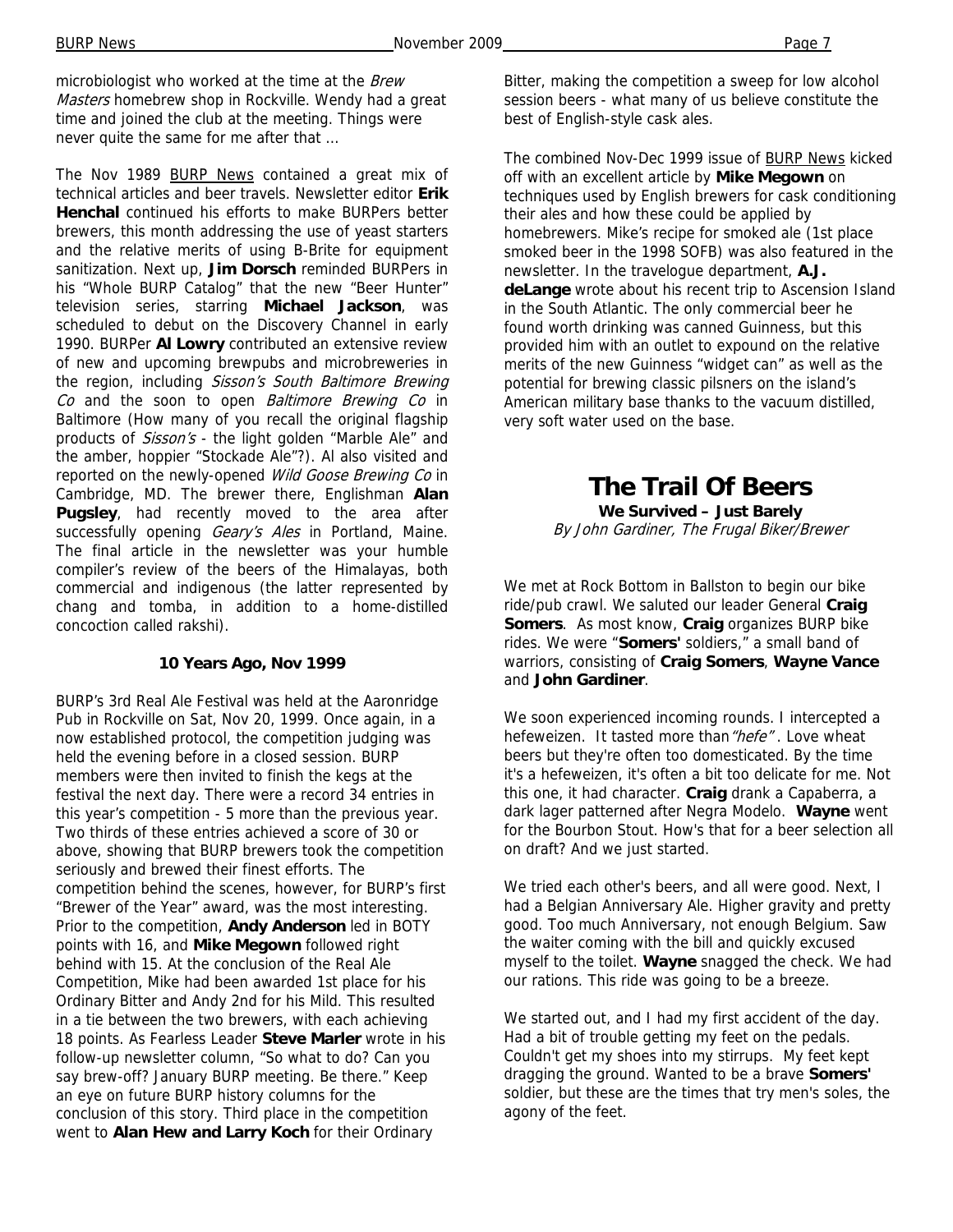microbiologist who worked at the time at the Brew Masters homebrew shop in Rockville. Wendy had a great time and joined the club at the meeting. Things were never quite the same for me after that …

The Nov 1989 BURP News contained a great mix of technical articles and beer travels. Newsletter editor **Erik Henchal** continued his efforts to make BURPers better brewers, this month addressing the use of yeast starters and the relative merits of using B-Brite for equipment sanitization. Next up, **Jim Dorsch** reminded BURPers in his "Whole BURP Catalog" that the new "Beer Hunter" television series, starring **Michael Jackson**, was scheduled to debut on the Discovery Channel in early 1990. BURPer **Al Lowry** contributed an extensive review of new and upcoming brewpubs and microbreweries in the region, including Sisson's South Baltimore Brewing Co and the soon to open Baltimore Brewing Co in Baltimore (How many of you recall the original flagship products of Sisson's - the light golden "Marble Ale" and the amber, hoppier "Stockade Ale"?). Al also visited and reported on the newly-opened Wild Goose Brewing Co in Cambridge, MD. The brewer there, Englishman **Alan Pugsley**, had recently moved to the area after successfully opening Geary's Ales in Portland, Maine. The final article in the newsletter was your humble compiler's review of the beers of the Himalayas, both commercial and indigenous (the latter represented by chang and tomba, in addition to a home-distilled concoction called rakshi).

### **10 Years Ago, Nov 1999**

BURP's 3rd Real Ale Festival was held at the Aaronridge Pub in Rockville on Sat, Nov 20, 1999. Once again, in a now established protocol, the competition judging was held the evening before in a closed session. BURP members were then invited to finish the kegs at the festival the next day. There were a record 34 entries in this year's competition - 5 more than the previous year. Two thirds of these entries achieved a score of 30 or above, showing that BURP brewers took the competition seriously and brewed their finest efforts. The competition behind the scenes, however, for BURP's first "Brewer of the Year" award, was the most interesting. Prior to the competition, **Andy Anderson** led in BOTY points with 16, and **Mike Megown** followed right behind with 15. At the conclusion of the Real Ale Competition, Mike had been awarded 1st place for his Ordinary Bitter and Andy 2nd for his Mild. This resulted in a tie between the two brewers, with each achieving 18 points. As Fearless Leader **Steve Marler** wrote in his follow-up newsletter column, "So what to do? Can you say brew-off? January BURP meeting. Be there." Keep an eye on future BURP history columns for the conclusion of this story. Third place in the competition went to **Alan Hew and Larry Koch** for their Ordinary

Bitter, making the competition a sweep for low alcohol session beers - what many of us believe constitute the best of English-style cask ales.

The combined Nov-Dec 1999 issue of BURP News kicked off with an excellent article by **Mike Megown** on techniques used by English brewers for cask conditioning their ales and how these could be applied by homebrewers. Mike's recipe for smoked ale (1st place smoked beer in the 1998 SOFB) was also featured in the newsletter. In the travelogue department, **A.J. deLange** wrote about his recent trip to Ascension Island in the South Atlantic. The only commercial beer he found worth drinking was canned Guinness, but this provided him with an outlet to expound on the relative merits of the new Guinness "widget can" as well as the potential for brewing classic pilsners on the island's American military base thanks to the vacuum distilled, very soft water used on the base.

# **The Trail Of Beers**

**We Survived – Just Barely**  By John Gardiner, The Frugal Biker/Brewer

We met at Rock Bottom in Ballston to begin our bike ride/pub crawl. We saluted our leader General **Craig Somers**. As most know, **Craig** organizes BURP bike rides. We were "**Somers'** soldiers," a small band of warriors, consisting of **Craig Somers**, **Wayne Vance**  and **John Gardiner**.

We soon experienced incoming rounds. I intercepted a hefeweizen. It tasted more than "hefe". Love wheat beers but they're often too domesticated. By the time it's a hefeweizen, it's often a bit too delicate for me. Not this one, it had character. **Craig** drank a Capaberra, a dark lager patterned after Negra Modelo. **Wayne** went for the Bourbon Stout. How's that for a beer selection all on draft? And we just started.

We tried each other's beers, and all were good. Next, I had a Belgian Anniversary Ale. Higher gravity and pretty good. Too much Anniversary, not enough Belgium. Saw the waiter coming with the bill and quickly excused myself to the toilet. **Wayne** snagged the check. We had our rations. This ride was going to be a breeze.

We started out, and I had my first accident of the day. Had a bit of trouble getting my feet on the pedals. Couldn't get my shoes into my stirrups. My feet kept dragging the ground. Wanted to be a brave **Somers'** soldier, but these are the times that try men's soles, the agony of the feet.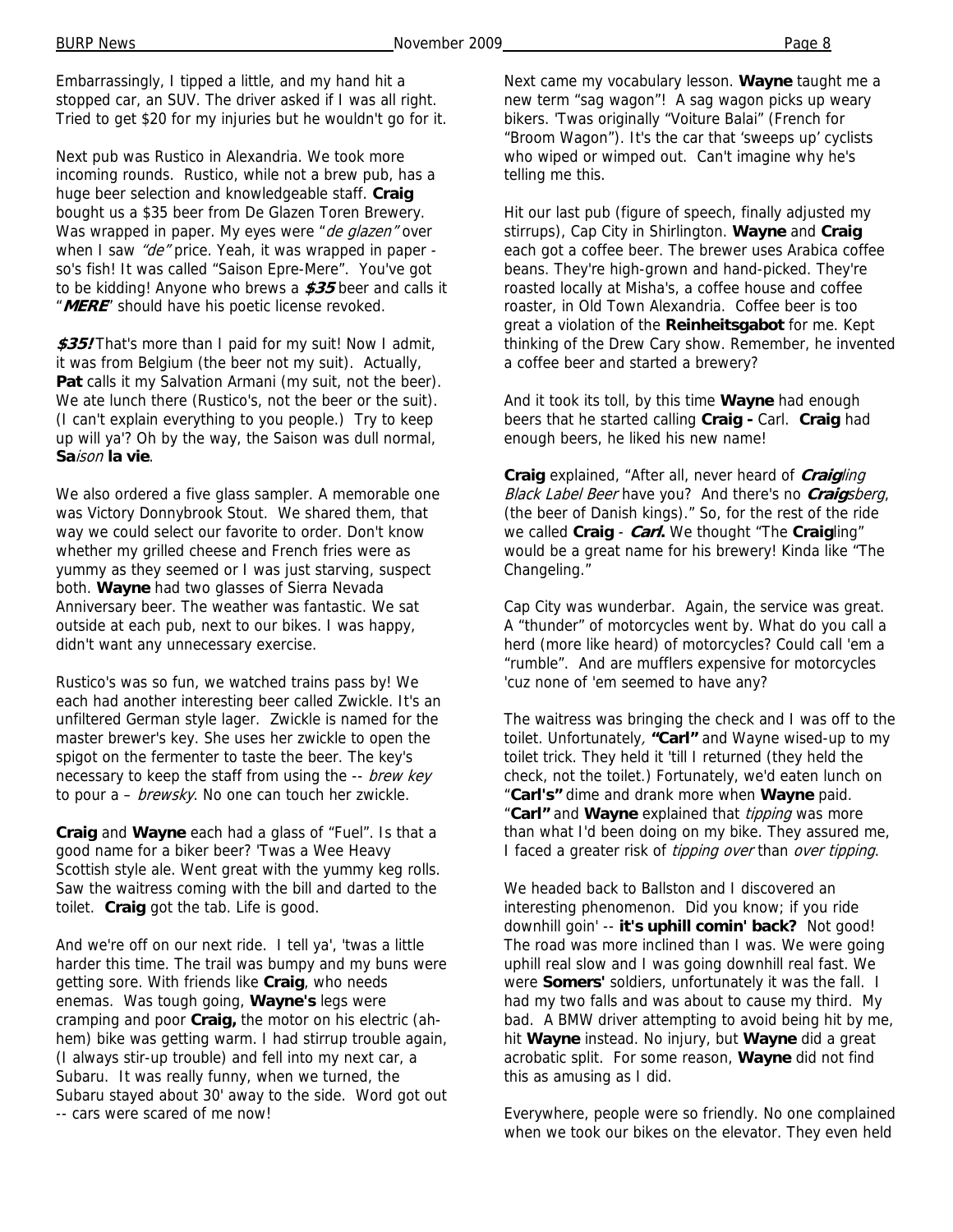Embarrassingly, I tipped a little, and my hand hit a stopped car, an SUV. The driver asked if I was all right. Tried to get \$20 for my injuries but he wouldn't go for it.

Next pub was Rustico in Alexandria. We took more incoming rounds. Rustico, while not a brew pub, has a huge beer selection and knowledgeable staff. **Craig** bought us a \$35 beer from De Glazen Toren Brewery. Was wrapped in paper. My eyes were "de glazen" over when I saw "de" price. Yeah, it was wrapped in paper so's fish! It was called "Saison Epre-Mere". You've got to be kidding! Anyone who brews a **\$35** beer and calls it "**MERE**" should have his poetic license revoked.

**\$35!** That's more than I paid for my suit! Now I admit, it was from Belgium (the beer not my suit). Actually, **Pat** calls it my Salvation Armani (my suit, not the beer). We ate lunch there (Rustico's, not the beer or the suit). (I can't explain everything to you people.) Try to keep up will ya'? Oh by the way, the Saison was dull normal, **Sa**ison **la vie**.

We also ordered a five glass sampler. A memorable one was Victory Donnybrook Stout. We shared them, that way we could select our favorite to order. Don't know whether my grilled cheese and French fries were as yummy as they seemed or I was just starving, suspect both. **Wayne** had two glasses of Sierra Nevada Anniversary beer. The weather was fantastic. We sat outside at each pub, next to our bikes. I was happy, didn't want any unnecessary exercise.

Rustico's was so fun, we watched trains pass by! We each had another interesting beer called Zwickle. It's an unfiltered German style lager. Zwickle is named for the master brewer's key. She uses her zwickle to open the spigot on the fermenter to taste the beer. The key's necessary to keep the staff from using the -- brew key to pour a – *brewsky*. No one can touch her zwickle.

**Craig** and **Wayne** each had a glass of "Fuel". Is that a good name for a biker beer? 'Twas a Wee Heavy Scottish style ale. Went great with the yummy keg rolls. Saw the waitress coming with the bill and darted to the toilet. **Craig** got the tab. Life is good.

And we're off on our next ride. I tell ya', 'twas a little harder this time. The trail was bumpy and my buns were getting sore. With friends like **Craig**, who needs enemas. Was tough going, **Wayne's** legs were cramping and poor **Craig,** the motor on his electric (ahhem) bike was getting warm. I had stirrup trouble again, (I always stir-up trouble) and fell into my next car, a Subaru. It was really funny, when we turned, the Subaru stayed about 30' away to the side. Word got out -- cars were scared of me now!

Next came my vocabulary lesson. **Wayne** taught me a new term "sag wagon"! A sag wagon picks up weary bikers. 'Twas originally "Voiture Balai" (French for "Broom Wagon"). It's the car that 'sweeps up' cyclists who wiped or wimped out. Can't imagine why he's telling me this.

Hit our last pub (figure of speech, finally adjusted my stirrups), Cap City in Shirlington. **Wayne** and **Craig** each got a coffee beer. The brewer uses Arabica coffee beans. They're high-grown and hand-picked. They're roasted locally at Misha's, a coffee house and coffee roaster, in Old Town Alexandria. Coffee beer is too great a violation of the **Reinheitsgabot** for me. Kept thinking of the Drew Cary show. Remember, he invented a coffee beer and started a brewery?

And it took its toll, by this time **Wayne** had enough beers that he started calling **Craig -** Carl. **Craig** had enough beers, he liked his new name!

**Craig** explained, "After all, never heard of **Craig**ling Black Label Beer have you? And there's no **Craig**sberg, (the beer of Danish kings)." So, for the rest of the ride we called **Craig** - **Carl.** We thought "The **Craig**ling" would be a great name for his brewery! Kinda like "The Changeling."

Cap City was wunderbar. Again, the service was great. A "thunder" of motorcycles went by. What do you call a herd (more like heard) of motorcycles? Could call 'em a "rumble". And are mufflers expensive for motorcycles 'cuz none of 'em seemed to have any?

The waitress was bringing the check and I was off to the toilet. Unfortunately, **"Carl"** and Wayne wised-up to my toilet trick. They held it 'till I returned (they held the check, not the toilet.) Fortunately, we'd eaten lunch on "**Carl's"** dime and drank more when **Wayne** paid. "**Carl"** and **Wayne** explained that tipping was more than what I'd been doing on my bike. They assured me, I faced a greater risk of tipping over than over tipping.

We headed back to Ballston and I discovered an interesting phenomenon. Did you know; if you ride downhill goin' -- **it's uphill comin' back?** Not good! The road was more inclined than I was. We were going uphill real slow and I was going downhill real fast. We were **Somers'** soldiers, unfortunately it was the fall. I had my two falls and was about to cause my third. My bad. A BMW driver attempting to avoid being hit by me, hit **Wayne** instead. No injury, but **Wayne** did a great acrobatic split. For some reason, **Wayne** did not find this as amusing as I did.

Everywhere, people were so friendly. No one complained when we took our bikes on the elevator. They even held